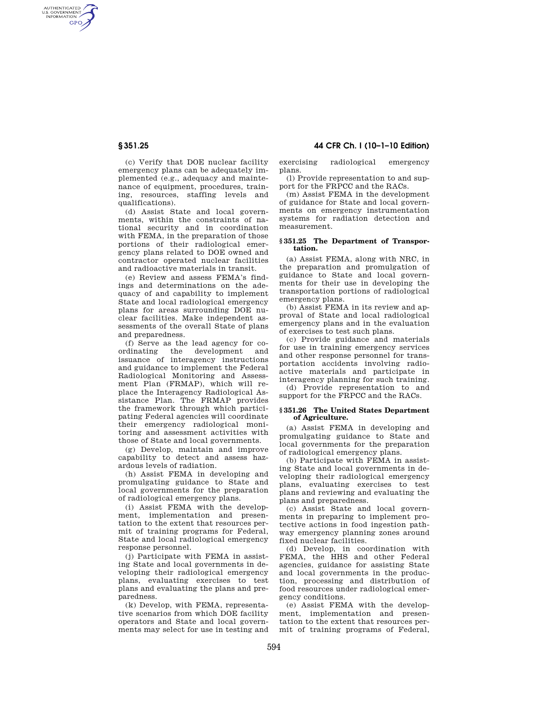AUTHENTICATED<br>U.S. GOVERNMENT<br>INFORMATION **GPO** 

**§ 351.25 44 CFR Ch. I (10–1–10 Edition)** 

(c) Verify that DOE nuclear facility emergency plans can be adequately implemented (e.g., adequacy and maintenance of equipment, procedures, training, resources, staffing levels and qualifications).

(d) Assist State and local governments, within the constraints of national security and in coordination with FEMA, in the preparation of those portions of their radiological emergency plans related to DOE owned and contractor operated nuclear facilities and radioactive materials in transit.

(e) Review and assess FEMA's findings and determinations on the adequacy of and capability to implement State and local radiological emergency plans for areas surrounding DOE nuclear facilities. Make independent assessments of the overall State of plans and preparedness.

(f) Serve as the lead agency for coordinating the development and issuance of interagency instructions and guidance to implement the Federal Radiological Monitoring and Assessment Plan (FRMAP), which will replace the Interagency Radiological Assistance Plan. The FRMAP provides the framework through which participating Federal agencies will coordinate their emergency radiological monitoring and assessment activities with those of State and local governments.

(g) Develop, maintain and improve capability to detect and assess hazardous levels of radiation.

(h) Assist FEMA in developing and promulgating guidance to State and local governments for the preparation of radiological emergency plans.

(i) Assist FEMA with the development, implementation and presentation to the extent that resources permit of training programs for Federal, State and local radiological emergency response personnel.

(j) Participate with FEMA in assisting State and local governments in developing their radiological emergency plans, evaluating exercises to test plans and evaluating the plans and preparedness.

(k) Develop, with FEMA, representative scenarios from which DOE facility operators and State and local governments may select for use in testing and exercising radiological emergency plans.

(l) Provide representation to and support for the FRPCC and the RACs.

(m) Assist FEMA in the development of guidance for State and local governments on emergency instrumentation systems for radiation detection and measurement.

### **§ 351.25 The Department of Transportation.**

(a) Assist FEMA, along with NRC, in the preparation and promulgation of guidance to State and local governments for their use in developing the transportation portions of radiological emergency plans.

(b) Assist FEMA in its review and approval of State and local radiological emergency plans and in the evaluation of exercises to test such plans.

(c) Provide guidance and materials for use in training emergency services and other response personnel for transportation accidents involving radioactive materials and participate in interagency planning for such training.

(d) Provide representation to and support for the FRPCC and the RACs.

### **§ 351.26 The United States Department of Agriculture.**

(a) Assist FEMA in developing and promulgating guidance to State and local governments for the preparation of radiological emergency plans.

(b) Participate with FEMA in assisting State and local governments in developing their radiological emergency plans, evaluating exercises to test plans and reviewing and evaluating the plans and preparedness.

(c) Assist State and local governments in preparing to implement protective actions in food ingestion pathway emergency planning zones around fixed nuclear facilities.

(d) Develop, in coordination with FEMA, the HHS and other Federal agencies, guidance for assisting State and local governments in the production, processing and distribution of food resources under radiological emergency conditions.

(e) Assist FEMA with the development, implementation and presentation to the extent that resources permit of training programs of Federal,